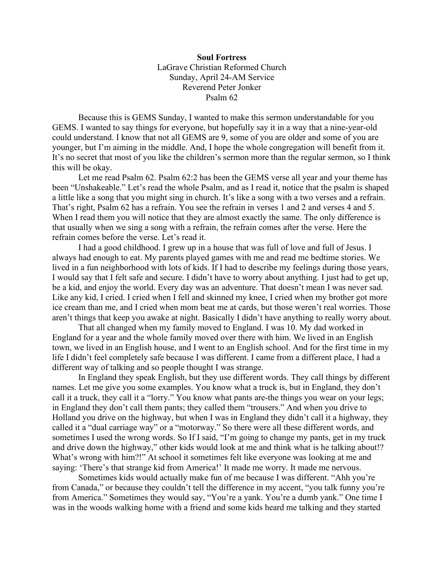## **Soul Fortress** LaGrave Christian Reformed Church Sunday, April 24-AM Service Reverend Peter Jonker Psalm 62

Because this is GEMS Sunday, I wanted to make this sermon understandable for you GEMS. I wanted to say things for everyone, but hopefully say it in a way that a nine-year-old could understand. I know that not all GEMS are 9, some of you are older and some of you are younger, but I'm aiming in the middle. And, I hope the whole congregation will benefit from it. It's no secret that most of you like the children's sermon more than the regular sermon, so I think this will be okay.

Let me read Psalm 62. Psalm 62:2 has been the GEMS verse all year and your theme has been "Unshakeable." Let's read the whole Psalm, and as I read it, notice that the psalm is shaped a little like a song that you might sing in church. It's like a song with a two verses and a refrain. That's right, Psalm 62 has a refrain. You see the refrain in verses 1 and 2 and verses 4 and 5. When I read them you will notice that they are almost exactly the same. The only difference is that usually when we sing a song with a refrain, the refrain comes after the verse. Here the refrain comes before the verse. Let's read it.

I had a good childhood. I grew up in a house that was full of love and full of Jesus. I always had enough to eat. My parents played games with me and read me bedtime stories. We lived in a fun neighborhood with lots of kids. If I had to describe my feelings during those years, I would say that I felt safe and secure. I didn't have to worry about anything. I just had to get up, be a kid, and enjoy the world. Every day was an adventure. That doesn't mean I was never sad. Like any kid, I cried. I cried when I fell and skinned my knee, I cried when my brother got more ice cream than me, and I cried when mom beat me at cards, but those weren't real worries. Those aren't things that keep you awake at night. Basically I didn't have anything to really worry about.

That all changed when my family moved to England. I was 10. My dad worked in England for a year and the whole family moved over there with him. We lived in an English town, we lived in an English house, and I went to an English school. And for the first time in my life I didn't feel completely safe because I was different. I came from a different place, I had a different way of talking and so people thought I was strange.

In England they speak English, but they use different words. They call things by different names. Let me give you some examples. You know what a truck is, but in England, they don't call it a truck, they call it a "lorry." You know what pants are-the things you wear on your legs; in England they don't call them pants; they called them "trousers." And when you drive to Holland you drive on the highway, but when I was in England they didn't call it a highway, they called it a "dual carriage way" or a "motorway." So there were all these different words, and sometimes I used the wrong words. So If I said, "I'm going to change my pants, get in my truck and drive down the highway," other kids would look at me and think what is he talking about!? What's wrong with him?!" At school it sometimes felt like everyone was looking at me and saying: 'There's that strange kid from America!' It made me worry. It made me nervous.

Sometimes kids would actually make fun of me because I was different. "Ahh you're from Canada," or because they couldn't tell the difference in my accent, "you talk funny you're from America." Sometimes they would say, "You're a yank. You're a dumb yank." One time I was in the woods walking home with a friend and some kids heard me talking and they started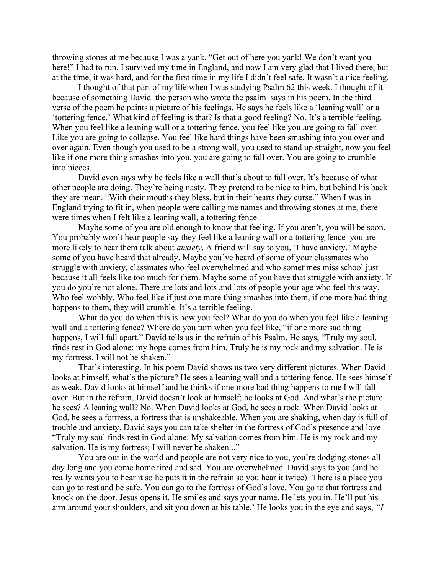throwing stones at me because I was a yank. "Get out of here you yank! We don't want you here!" I had to run. I survived my time in England, and now I am very glad that I lived there, but at the time, it was hard, and for the first time in my life I didn't feel safe. It wasn't a nice feeling.

I thought of that part of my life when I was studying Psalm 62 this week. I thought of it because of something David–the person who wrote the psalm–says in his poem. In the third verse of the poem he paints a picture of his feelings. He says he feels like a 'leaning wall' or a 'tottering fence.' What kind of feeling is that? Is that a good feeling? No. It's a terrible feeling. When you feel like a leaning wall or a tottering fence, you feel like you are going to fall over. Like you are going to collapse. You feel like hard things have been smashing into you over and over again. Even though you used to be a strong wall, you used to stand up straight, now you feel like if one more thing smashes into you, you are going to fall over. You are going to crumble into pieces.

David even says why he feels like a wall that's about to fall over. It's because of what other people are doing. They're being nasty. They pretend to be nice to him, but behind his back they are mean. "With their mouths they bless, but in their hearts they curse." When I was in England trying to fit in, when people were calling me names and throwing stones at me, there were times when I felt like a leaning wall, a tottering fence.

Maybe some of you are old enough to know that feeling. If you aren't, you will be soon. You probably won't hear people say they feel like a leaning wall or a tottering fence–you are more likely to hear them talk about *anxiety*. A friend will say to you, 'I have anxiety.' Maybe some of you have heard that already. Maybe you've heard of some of your classmates who struggle with anxiety, classmates who feel overwhelmed and who sometimes miss school just because it all feels like too much for them. Maybe some of you have that struggle with anxiety. If you do you're not alone. There are lots and lots and lots of people your age who feel this way. Who feel wobbly. Who feel like if just one more thing smashes into them, if one more bad thing happens to them, they will crumble. It's a terrible feeling.

What do you do when this is how you feel? What do you do when you feel like a leaning wall and a tottering fence? Where do you turn when you feel like, "if one more sad thing happens, I will fall apart." David tells us in the refrain of his Psalm. He says, "Truly my soul, finds rest in God alone; my hope comes from him. Truly he is my rock and my salvation. He is my fortress. I will not be shaken."

That's interesting. In his poem David shows us two very different pictures. When David looks at himself, what's the picture? He sees a leaning wall and a tottering fence. He sees himself as weak. David looks at himself and he thinks if one more bad thing happens to me I will fall over. But in the refrain, David doesn't look at himself; he looks at God. And what's the picture he sees? A leaning wall? No. When David looks at God, he sees a rock. When David looks at God, he sees a fortress, a fortress that is unshakeable. When you are shaking, when day is full of trouble and anxiety, David says you can take shelter in the fortress of God's presence and love "Truly my soul finds rest in God alone: My salvation comes from him. He is my rock and my salvation. He is my fortress; I will never be shaken..."

You are out in the world and people are not very nice to you, you're dodging stones all day long and you come home tired and sad. You are overwhelmed. David says to you (and he really wants you to hear it so he puts it in the refrain so you hear it twice) 'There is a place you can go to rest and be safe. You can go to the fortress of God's love. You go to that fortress and knock on the door. Jesus opens it. He smiles and says your name. He lets you in. He'll put his arm around your shoulders, and sit you down at his table.' He looks you in the eye and says, *"I*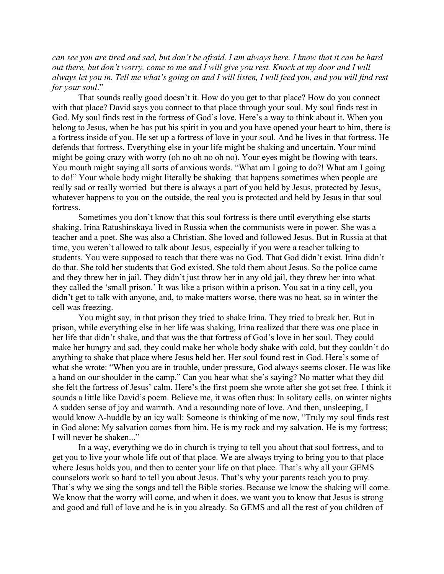*can see you are tired and sad, but don't be afraid. I am always here. I know that it can be hard out there, but don't worry, come to me and I will give you rest. Knock at my door and I will always let you in. Tell me what's going on and I will listen, I will feed you, and you will find rest for your soul*."

That sounds really good doesn't it. How do you get to that place? How do you connect with that place? David says you connect to that place through your soul. My soul finds rest in God. My soul finds rest in the fortress of God's love. Here's a way to think about it. When you belong to Jesus, when he has put his spirit in you and you have opened your heart to him, there is a fortress inside of you. He set up a fortress of love in your soul. And he lives in that fortress. He defends that fortress. Everything else in your life might be shaking and uncertain. Your mind might be going crazy with worry (oh no oh no oh no). Your eyes might be flowing with tears. You mouth might saying all sorts of anxious words. "What am I going to do?! What am I going to do!" Your whole body might literally be shaking–that happens sometimes when people are really sad or really worried–but there is always a part of you held by Jesus, protected by Jesus, whatever happens to you on the outside, the real you is protected and held by Jesus in that soul fortress.

Sometimes you don't know that this soul fortress is there until everything else starts shaking. Irina Ratushinskaya lived in Russia when the communists were in power. She was a teacher and a poet. She was also a Christian. She loved and followed Jesus. But in Russia at that time, you weren't allowed to talk about Jesus, especially if you were a teacher talking to students. You were supposed to teach that there was no God. That God didn't exist. Irina didn't do that. She told her students that God existed. She told them about Jesus. So the police came and they threw her in jail. They didn't just throw her in any old jail, they threw her into what they called the 'small prison.' It was like a prison within a prison. You sat in a tiny cell, you didn't get to talk with anyone, and, to make matters worse, there was no heat, so in winter the cell was freezing.

You might say, in that prison they tried to shake Irina. They tried to break her. But in prison, while everything else in her life was shaking, Irina realized that there was one place in her life that didn't shake, and that was the that fortress of God's love in her soul. They could make her hungry and sad, they could make her whole body shake with cold, but they couldn't do anything to shake that place where Jesus held her. Her soul found rest in God. Here's some of what she wrote: "When you are in trouble, under pressure, God always seems closer. He was like a hand on our shoulder in the camp." Can you hear what she's saying? No matter what they did she felt the fortress of Jesus' calm. Here's the first poem she wrote after she got set free. I think it sounds a little like David's poem. Believe me, it was often thus: In solitary cells, on winter nights A sudden sense of joy and warmth. And a resounding note of love. And then, unsleeping, I would know A-huddle by an icy wall: Someone is thinking of me now, "Truly my soul finds rest in God alone: My salvation comes from him. He is my rock and my salvation. He is my fortress; I will never be shaken..."

In a way, everything we do in church is trying to tell you about that soul fortress, and to get you to live your whole life out of that place. We are always trying to bring you to that place where Jesus holds you, and then to center your life on that place. That's why all your GEMS counselors work so hard to tell you about Jesus. That's why your parents teach you to pray. That's why we sing the songs and tell the Bible stories. Because we know the shaking will come. We know that the worry will come, and when it does, we want you to know that Jesus is strong and good and full of love and he is in you already. So GEMS and all the rest of you children of